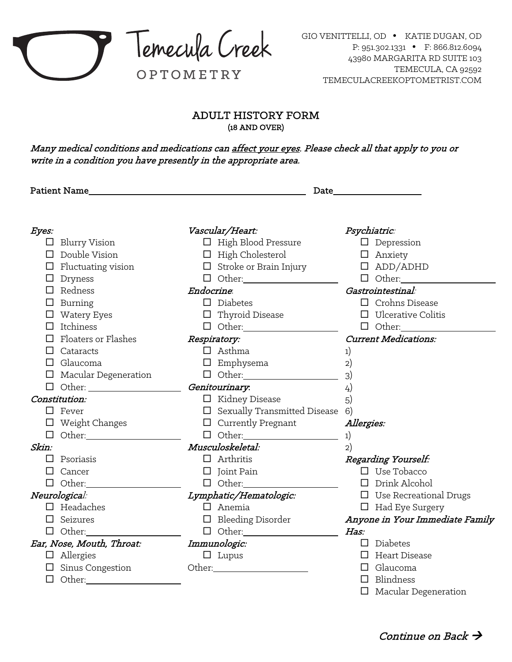

## ADULT HISTORY FORM (18 AND OVER)

Many medical conditions and medications can affect your eyes. Please check all that apply to you or write in a condition you have presently in the appropriate area.

| <b>Patient Name</b>         |                                        |                                 |  |  |
|-----------------------------|----------------------------------------|---------------------------------|--|--|
|                             |                                        |                                 |  |  |
| Eyes:                       | Vascular/Heart:                        | Psychiatric:                    |  |  |
| $\Box$ Blurry Vision        | $\Box$ High Blood Pressure             | $\Box$ Depression               |  |  |
| $\Box$ Double Vision        | $\Box$ High Cholesterol                | $\Box$ Anxiety                  |  |  |
| $\Box$ Fluctuating vision   | $\Box$ Stroke or Brain Injury          | $\square$ ADD/ADHD              |  |  |
| $\Box$ Dryness              |                                        | $\Box$ Other:                   |  |  |
| $\Box$ Redness              | Endocrine.                             | Gastrointestinal:               |  |  |
| Burning                     | $\square$ Diabetes                     | $\Box$ Crohns Disease           |  |  |
| $\Box$ Watery Eyes          | $\Box$ Thyroid Disease                 | $\Box$ Ulcerative Colitis       |  |  |
| Itchiness<br>$\mathsf{L}$   |                                        | $\Box$ Other:                   |  |  |
| Floaters or Flashes         | Respiratory:                           | <b>Current Medications:</b>     |  |  |
| $\Box$ Cataracts            | $\Box$ Asthma                          | 1)                              |  |  |
| $\Box$ Glaucoma             | $\square$ Emphysema                    | 2)                              |  |  |
| $\Box$ Macular Degeneration |                                        | 3)                              |  |  |
|                             | Genitourinary:                         | 4)                              |  |  |
| Constitution:               | $\Box$ Kidney Disease                  | 5)                              |  |  |
| $\square$ Fever             | $\Box$ Sexually Transmitted Disease 6) |                                 |  |  |
| $\Box$ Weight Changes       | $\Box$ Currently Pregnant              | Allergies:                      |  |  |
| $\Box$ Other:               |                                        | 1)                              |  |  |
| Skin:                       | Musculoskeletal:                       | 2)                              |  |  |
| $\Box$ Psoriasis            | $\Box$ Arthritis                       | Regarding Yourself:             |  |  |
| Cancer                      | $\Box$ Joint Pain                      | $\Box$ Use Tobacco              |  |  |
| $\Box$ Other:               | $\Box$ Other:                          | $\Box$ Drink Alcohol            |  |  |
| Neurological:               | Lymphatic/Hematologic:                 | $\Box$ Use Recreational Drugs   |  |  |
| $\Box$ Headaches            | $\Box$ Anemia                          | $\Box$ Had Eye Surgery          |  |  |
| Seizures                    | $\Box$ Bleeding Disorder               | Anyone in Your Immediate Family |  |  |
|                             |                                        | Has:                            |  |  |
| Ear, Nose, Mouth, Throat:   | Immunologic:                           | $\square$ Diabetes              |  |  |
| $\Box$ Allergies            | $\Box$ Lupus                           | $\Box$ Heart Disease            |  |  |
| $\Box$ Sinus Congestion     |                                        | $\Box$ Glaucoma                 |  |  |
| $\Box$ Other:               |                                        | $\Box$ Blindness                |  |  |
|                             |                                        | $\Box$ Macular Degeneration     |  |  |